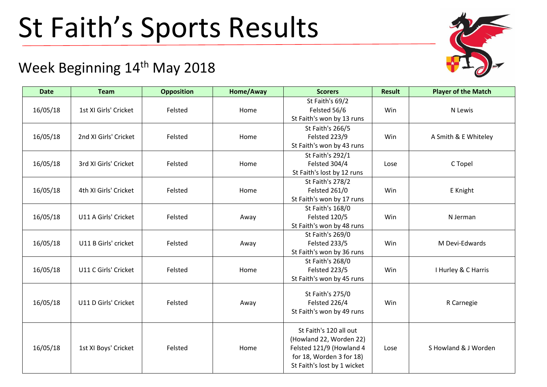## St Faith's Sports Results

## Week Beginning 14<sup>th</sup> May 2018

| <b>Date</b> | <b>Team</b>           | <b>Opposition</b> | Home/Away | <b>Scorers</b>                                                                                                                           | <b>Result</b> | <b>Player of the Match</b> |
|-------------|-----------------------|-------------------|-----------|------------------------------------------------------------------------------------------------------------------------------------------|---------------|----------------------------|
| 16/05/18    | 1st XI Girls' Cricket | Felsted           | Home      | St Faith's 69/2<br>Felsted 56/6<br>St Faith's won by 13 runs                                                                             | Win           | N Lewis                    |
| 16/05/18    | 2nd XI Girls' Cricket | Felsted           | Home      | St Faith's 266/5<br><b>Felsted 223/9</b><br>St Faith's won by 43 runs                                                                    | Win           | A Smith & E Whiteley       |
| 16/05/18    | 3rd XI Girls' Cricket | Felsted           | Home      | St Faith's 292/1<br>Felsted 304/4<br>St Faith's lost by 12 runs                                                                          | Lose          | C Topel                    |
| 16/05/18    | 4th XI Girls' Cricket | Felsted           | Home      | St Faith's 278/2<br>Felsted 261/0<br>St Faith's won by 17 runs                                                                           | Win           | E Knight                   |
| 16/05/18    | U11 A Girls' Cricket  | Felsted           | Away      | St Faith's 168/0<br><b>Felsted 120/5</b><br>St Faith's won by 48 runs                                                                    | Win           | N Jerman                   |
| 16/05/18    | U11 B Girls' cricket  | Felsted           | Away      | St Faith's 269/0<br><b>Felsted 233/5</b><br>St Faith's won by 36 runs                                                                    | Win           | M Devi-Edwards             |
| 16/05/18    | U11 C Girls' Cricket  | Felsted           | Home      | St Faith's 268/0<br><b>Felsted 223/5</b><br>St Faith's won by 45 runs                                                                    | Win           | I Hurley & C Harris        |
| 16/05/18    | U11 D Girls' Cricket  | Felsted           | Away      | St Faith's 275/0<br>Felsted 226/4<br>St Faith's won by 49 runs                                                                           | Win           | R Carnegie                 |
| 16/05/18    | 1st XI Boys' Cricket  | Felsted           | Home      | St Faith's 120 all out<br>(Howland 22, Worden 22)<br>Felsted 121/9 (Howland 4<br>for 18, Worden 3 for 18)<br>St Faith's lost by 1 wicket | Lose          | S Howland & J Worden       |